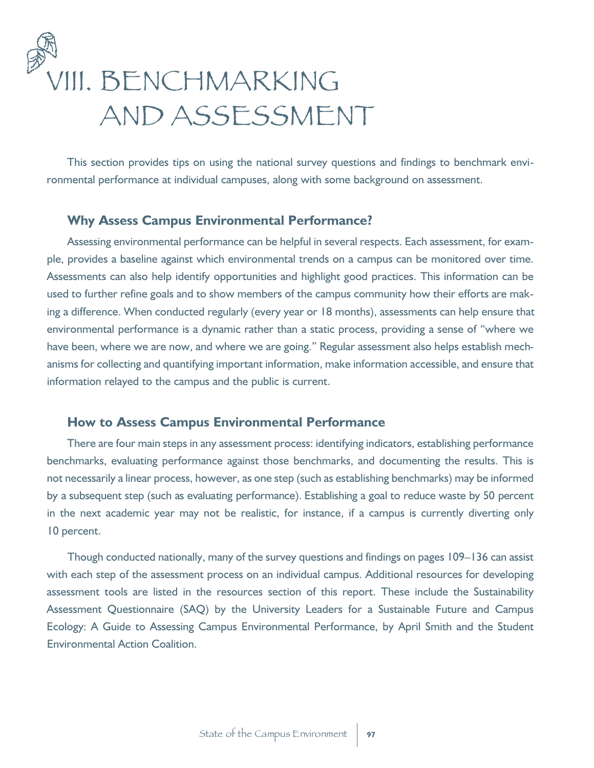# VIII. BENCHMARKING AND ASSESSMENT

This section provides tips on using the national survey questions and findings to benchmark environmental performance at individual campuses, along with some background on assessment.

# **Why Assess Campus Environmental Performance?**

Assessing environmental performance can be helpful in several respects. Each assessment, for example, provides a baseline against which environmental trends on a campus can be monitored over time. Assessments can also help identify opportunities and highlight good practices. This information can be used to further refine goals and to show members of the campus community how their efforts are making a difference. When conducted regularly (every year or 18 months), assessments can help ensure that environmental performance is a dynamic rather than a static process, providing a sense of "where we have been, where we are now, and where we are going." Regular assessment also helps establish mechanisms for collecting and quantifying important information, make information accessible, and ensure that information relayed to the campus and the public is current.

## **How to Assess Campus Environmental Performance**

There are four main steps in any assessment process: identifying indicators, establishing performance benchmarks, evaluating performance against those benchmarks, and documenting the results. This is not necessarily a linear process, however, as one step (such as establishing benchmarks) may be informed by a subsequent step (such as evaluating performance). Establishing a goal to reduce waste by 50 percent in the next academic year may not be realistic, for instance, if a campus is currently diverting only 10 percent.

Though conducted nationally, many of the survey questions and findings on pages 109–136 can assist with each step of the assessment process on an individual campus. Additional resources for developing assessment tools are listed in the resources section of this report. These include the Sustainability Assessment Questionnaire (SAQ) by the University Leaders for a Sustainable Future and Campus Ecology: A Guide to Assessing Campus Environmental Performance, by April Smith and the Student Environmental Action Coalition.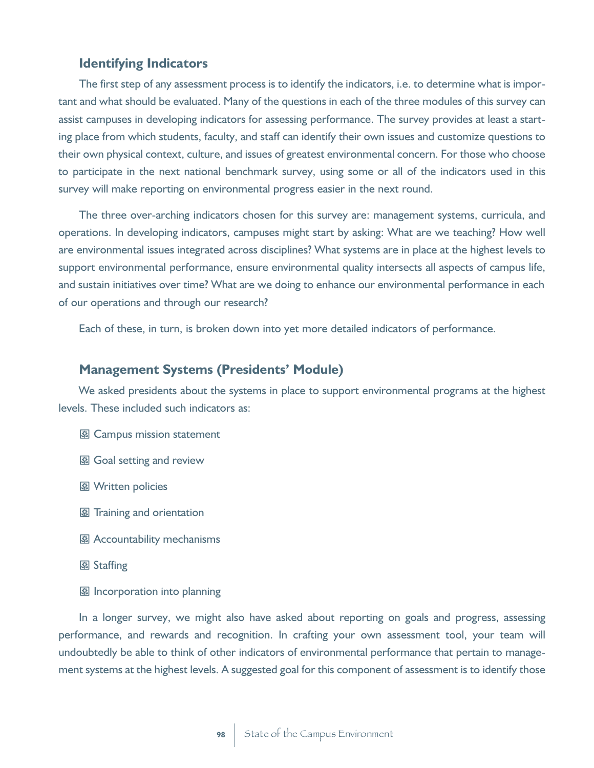### **Identifying Indicators**

The first step of any assessment process is to identify the indicators, i.e. to determine what is important and what should be evaluated. Many of the questions in each of the three modules of this survey can assist campuses in developing indicators for assessing performance. The survey provides at least a starting place from which students, faculty, and staff can identify their own issues and customize questions to their own physical context, culture, and issues of greatest environmental concern. For those who choose to participate in the next national benchmark survey, using some or all of the indicators used in this survey will make reporting on environmental progress easier in the next round.

The three over-arching indicators chosen for this survey are: management systems, curricula, and operations. In developing indicators, campuses might start by asking: What are we teaching? How well are environmental issues integrated across disciplines? What systems are in place at the highest levels to support environmental performance, ensure environmental quality intersects all aspects of campus life, and sustain initiatives over time? What are we doing to enhance our environmental performance in each of our operations and through our research?

Each of these, in turn, is broken down into yet more detailed indicators of performance.

## **Management Systems (Presidents' Module)**

We asked presidents about the systems in place to support environmental programs at the highest levels. These included such indicators as:

- **图 Campus mission statement**
- 图 Goal setting and review
- **图 Written policies**
- 图 Training and orientation
- **图 Accountability mechanisms**
- 图 Staffing
- **图** Incorporation into planning

In a longer survey, we might also have asked about reporting on goals and progress, assessing performance, and rewards and recognition. In crafting your own assessment tool, your team will undoubtedly be able to think of other indicators of environmental performance that pertain to management systems at the highest levels. A suggested goal for this component of assessment is to identify those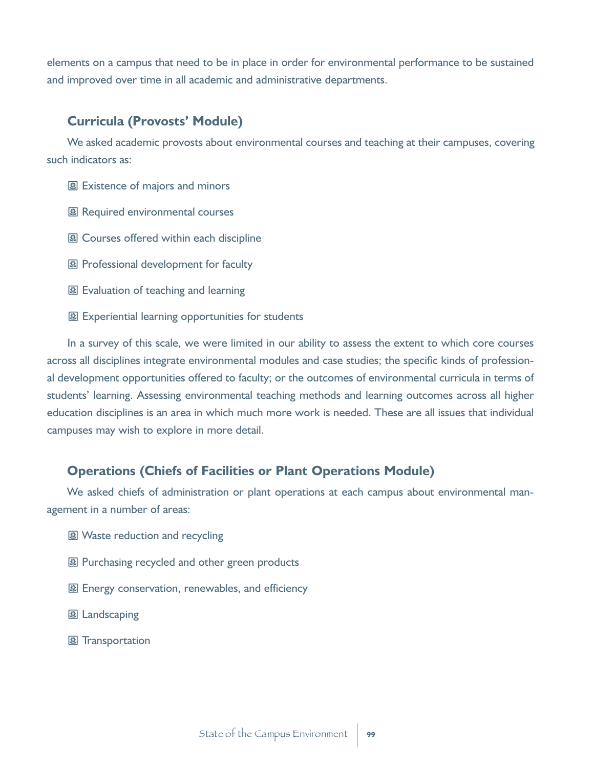elements on a campus that need to be in place in order for environmental performance to be sustained and improved over time in all academic and administrative departments.

## **Curricula (Provosts' Module)**

We asked academic provosts about environmental courses and teaching at their campuses, covering such indicators as:

图 Existence of majors and minors

- 图 Required environmental courses
- 图 Courses offered within each discipline
- 图 Professional development for faculty
- 图 Evaluation of teaching and learning
- 图 Experiential learning opportunities for students

In a survey of this scale, we were limited in our ability to assess the extent to which core courses across all disciplines integrate environmental modules and case studies; the specific kinds of professional development opportunities offered to faculty; or the outcomes of environmental curricula in terms of students' learning. Assessing environmental teaching methods and learning outcomes across all higher education disciplines is an area in which much more work is needed. These are all issues that individual campuses may wish to explore in more detail.

## **Operations (Chiefs of Facilities or Plant Operations Module)**

We asked chiefs of administration or plant operations at each campus about environmental management in a number of areas:

- 图 Waste reduction and recycling
- 图 Purchasing recycled and other green products
- 图 Energy conservation, renewables, and efficiency
- 图 Landscaping
- 图 Transportation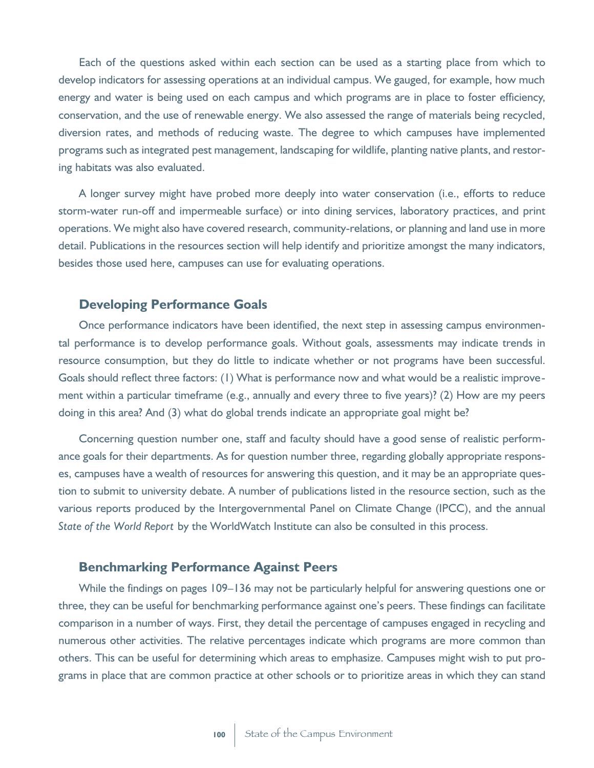Each of the questions asked within each section can be used as a starting place from which to develop indicators for assessing operations at an individual campus. We gauged, for example, how much energy and water is being used on each campus and which programs are in place to foster efficiency, conservation, and the use of renewable energy. We also assessed the range of materials being recycled, diversion rates, and methods of reducing waste. The degree to which campuses have implemented programs such as integrated pest management, landscaping for wildlife, planting native plants, and restoring habitats was also evaluated.

A longer survey might have probed more deeply into water conservation (i.e., efforts to reduce storm-water run-off and impermeable surface) or into dining services, laboratory practices, and print operations. We might also have covered research, community-relations, or planning and land use in more detail. Publications in the resources section will help identify and prioritize amongst the many indicators, besides those used here, campuses can use for evaluating operations.

#### **Developing Performance Goals**

Once performance indicators have been identified, the next step in assessing campus environmental performance is to develop performance goals. Without goals, assessments may indicate trends in resource consumption, but they do little to indicate whether or not programs have been successful. Goals should reflect three factors: (1) What is performance now and what would be a realistic improvement within a particular timeframe (e.g., annually and every three to five years)? (2) How are my peers doing in this area? And (3) what do global trends indicate an appropriate goal might be?

Concerning question number one, staff and faculty should have a good sense of realistic performance goals for their departments. As for question number three, regarding globally appropriate responses, campuses have a wealth of resources for answering this question, and it may be an appropriate question to submit to university debate. A number of publications listed in the resource section, such as the various reports produced by the Intergovernmental Panel on Climate Change (IPCC), and the annual *State of the World Report* by the WorldWatch Institute can also be consulted in this process.

# **Benchmarking Performance Against Peers**

While the findings on pages 109–136 may not be particularly helpful for answering questions one or three, they can be useful for benchmarking performance against one's peers. These findings can facilitate comparison in a number of ways. First, they detail the percentage of campuses engaged in recycling and numerous other activities. The relative percentages indicate which programs are more common than others. This can be useful for determining which areas to emphasize. Campuses might wish to put programs in place that are common practice at other schools or to prioritize areas in which they can stand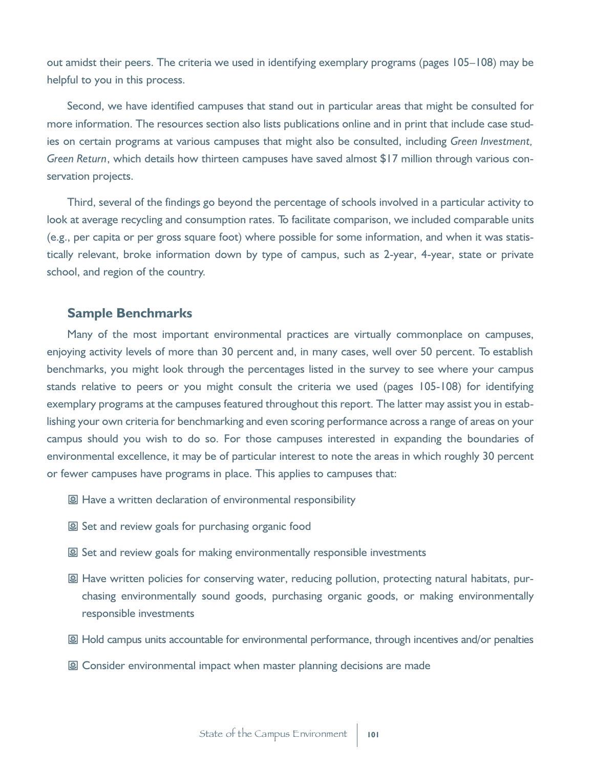out amidst their peers. The criteria we used in identifying exemplary programs (pages 105–108) may be helpful to you in this process.

Second, we have identified campuses that stand out in particular areas that might be consulted for more information. The resources section also lists publications online and in print that include case studies on certain programs at various campuses that might also be consulted, including *Green Investment, Green Return*, which details how thirteen campuses have saved almost \$17 million through various conservation projects.

Third, several of the findings go beyond the percentage of schools involved in a particular activity to look at average recycling and consumption rates. To facilitate comparison, we included comparable units (e.g., per capita or per gross square foot) where possible for some information, and when it was statistically relevant, broke information down by type of campus, such as 2-year, 4-year, state or private school, and region of the country.

#### **Sample Benchmarks**

Many of the most important environmental practices are virtually commonplace on campuses, enjoying activity levels of more than 30 percent and, in many cases, well over 50 percent. To establish benchmarks, you might look through the percentages listed in the survey to see where your campus stands relative to peers or you might consult the criteria we used (pages 105-108) for identifying exemplary programs at the campuses featured throughout this report. The latter may assist you in establishing your own criteria for benchmarking and even scoring performance across a range of areas on your campus should you wish to do so. For those campuses interested in expanding the boundaries of environmental excellence, it may be of particular interest to note the areas in which roughly 30 percent or fewer campuses have programs in place. This applies to campuses that:

- 图 Have a written declaration of environmental responsibility
- 图 Set and review goals for purchasing organic food
- 图 Set and review goals for making environmentally responsible investments
- 图 Have written policies for conserving water, reducing pollution, protecting natural habitats, purchasing environmentally sound goods, purchasing organic goods, or making environmentally responsible investments
- 图 Hold campus units accountable for environmental performance, through incentives and/or penalties
- 图 Consider environmental impact when master planning decisions are made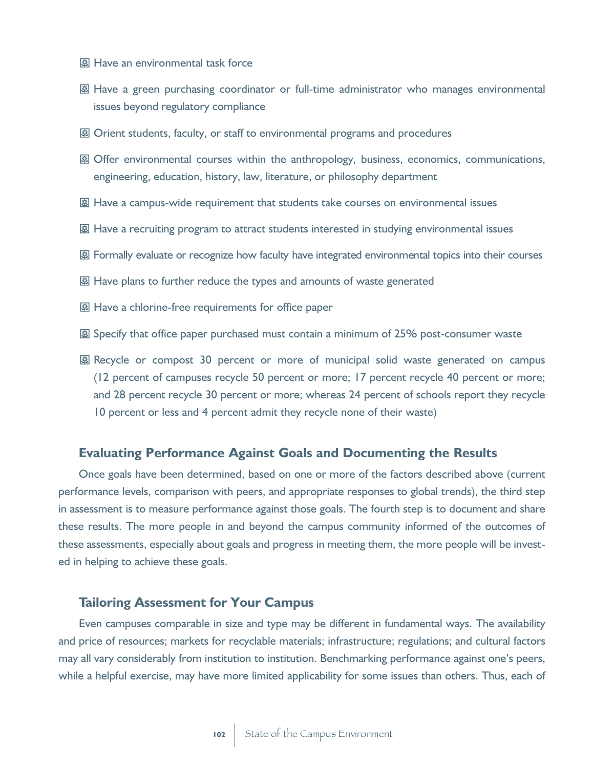- 图 Have an environmental task force
- 图 Have a green purchasing coordinator or full-time administrator who manages environmental issues beyond regulatory compliance
- 图 Orient students, faculty, or staff to environmental programs and procedures
- 图 Offer environmental courses within the anthropology, business, economics, communications, engineering, education, history, law, literature, or philosophy department
- **图 Have a campus-wide requirement that students take courses on environmental issues**
- 图 Have a recruiting program to attract students interested in studying environmental issues
- 图 Formally evaluate or recognize how faculty have integrated environmental topics into their courses
- **图 Have plans to further reduce the types and amounts of waste generated**
- 图 Have a chlorine-free requirements for office paper
- 图 Specify that office paper purchased must contain a minimum of 25% post-consumer waste
- 图 Recycle or compost 30 percent or more of municipal solid waste generated on campus (12 percent of campuses recycle 50 percent or more; 17 percent recycle 40 percent or more; and 28 percent recycle 30 percent or more; whereas 24 percent of schools report they recycle 10 percent or less and 4 percent admit they recycle none of their waste)

#### **Evaluating Performance Against Goals and Documenting the Results**

Once goals have been determined, based on one or more of the factors described above (current performance levels, comparison with peers, and appropriate responses to global trends), the third step in assessment is to measure performance against those goals. The fourth step is to document and share these results. The more people in and beyond the campus community informed of the outcomes of these assessments, especially about goals and progress in meeting them, the more people will be invested in helping to achieve these goals.

## **Tailoring Assessment for Your Campus**

Even campuses comparable in size and type may be different in fundamental ways. The availability and price of resources; markets for recyclable materials; infrastructure; regulations; and cultural factors may all vary considerably from institution to institution. Benchmarking performance against one's peers, while a helpful exercise, may have more limited applicability for some issues than others. Thus, each of